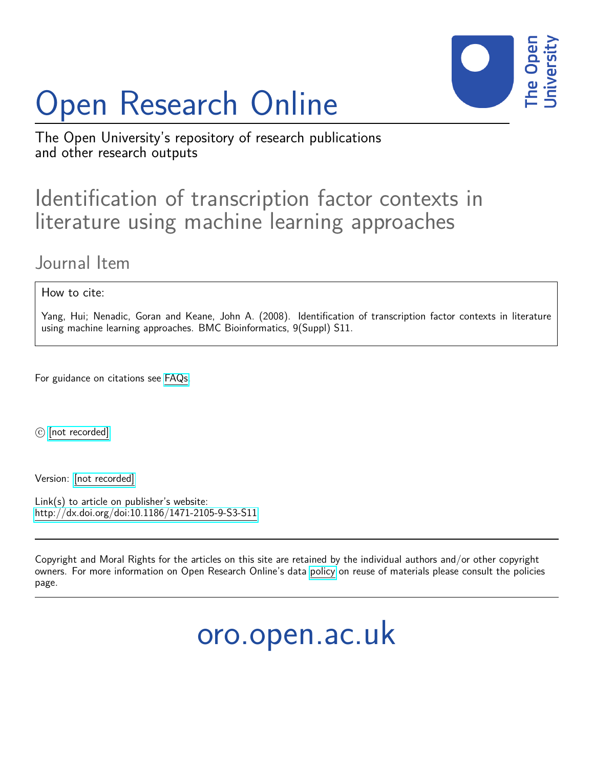# Open Research Online



The Open University's repository of research publications and other research outputs

## Identification of transcription factor contexts in literature using machine learning approaches

## Journal Item

How to cite:

Yang, Hui; Nenadic, Goran and Keane, John A. (2008). Identification of transcription factor contexts in literature using machine learning approaches. BMC Bioinformatics, 9(Suppl) S11.

For guidance on citations see [FAQs.](http://oro.open.ac.uk/help/helpfaq.html)

 $\odot$  [\[not recorded\]](http://oro.open.ac.uk/help/helpfaq.html#Unrecorded_information_on_coversheet)

Version: [\[not recorded\]](http://oro.open.ac.uk/help/helpfaq.html#Unrecorded_information_on_coversheet)

Link(s) to article on publisher's website: <http://dx.doi.org/doi:10.1186/1471-2105-9-S3-S11>

Copyright and Moral Rights for the articles on this site are retained by the individual authors and/or other copyright owners. For more information on Open Research Online's data [policy](http://oro.open.ac.uk/policies.html) on reuse of materials please consult the policies page.

oro.open.ac.uk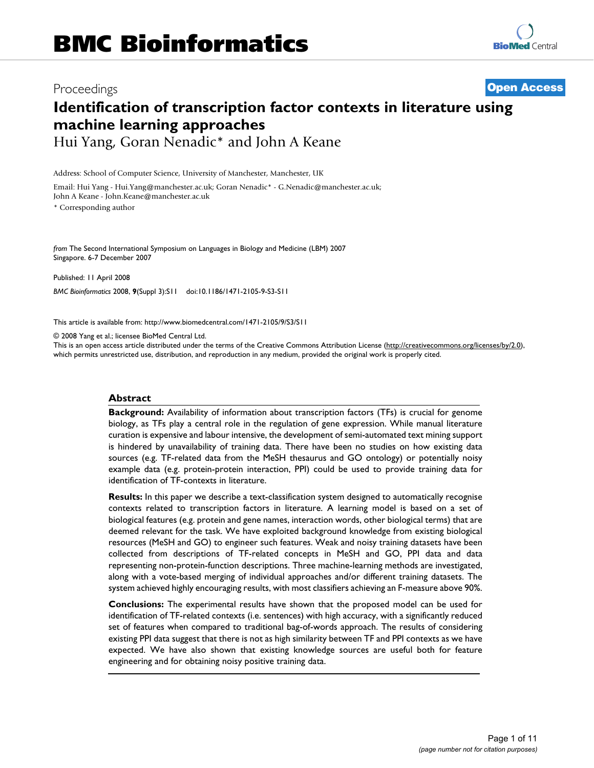## Proceedings **[Open Access](http://www.biomedcentral.com/info/about/charter/) Identification of transcription factor contexts in literature using machine learning approaches** Hui Yang, Goran Nenadic\* and John A Keane

Address: School of Computer Science, University of Manchester, Manchester, UK

Email: Hui Yang - Hui.Yang@manchester.ac.uk; Goran Nenadic\* - G.Nenadic@manchester.ac.uk; John A Keane - John.Keane@manchester.ac.uk

\* Corresponding author

*from* The Second International Symposium on Languages in Biology and Medicine (LBM) 2007 Singapore. 6-7 December 2007

Published: 11 April 2008 *BMC Bioinformatics* 2008, **9**(Suppl 3):S11 doi:10.1186/1471-2105-9-S3-S11

[This article is available from: http://www.biomedcentral.com/1471-2105/9/S3/S11](http://www.biomedcentral.com/1471-2105/9/S3/S11)

© 2008 Yang et al.; licensee BioMed Central Ltd.

This is an open access article distributed under the terms of the Creative Commons Attribution License [\(http://creativecommons.org/licenses/by/2.0\)](http://creativecommons.org/licenses/by/2.0), which permits unrestricted use, distribution, and reproduction in any medium, provided the original work is properly cited.

#### **Abstract**

**Background:** Availability of information about transcription factors (TFs) is crucial for genome biology, as TFs play a central role in the regulation of gene expression. While manual literature curation is expensive and labour intensive, the development of semi-automated text mining support is hindered by unavailability of training data. There have been no studies on how existing data sources (e.g. TF-related data from the MeSH thesaurus and GO ontology) or potentially noisy example data (e.g. protein-protein interaction, PPI) could be used to provide training data for identification of TF-contexts in literature.

**Results:** In this paper we describe a text-classification system designed to automatically recognise contexts related to transcription factors in literature. A learning model is based on a set of biological features (e.g. protein and gene names, interaction words, other biological terms) that are deemed relevant for the task. We have exploited background knowledge from existing biological resources (MeSH and GO) to engineer such features. Weak and noisy training datasets have been collected from descriptions of TF-related concepts in MeSH and GO, PPI data and data representing non-protein-function descriptions. Three machine-learning methods are investigated, along with a vote-based merging of individual approaches and/or different training datasets. The system achieved highly encouraging results, with most classifiers achieving an F-measure above 90%.

**Conclusions:** The experimental results have shown that the proposed model can be used for identification of TF-related contexts (i.e. sentences) with high accuracy, with a significantly reduced set of features when compared to traditional bag-of-words approach. The results of considering existing PPI data suggest that there is not as high similarity between TF and PPI contexts as we have expected. We have also shown that existing knowledge sources are useful both for feature engineering and for obtaining noisy positive training data.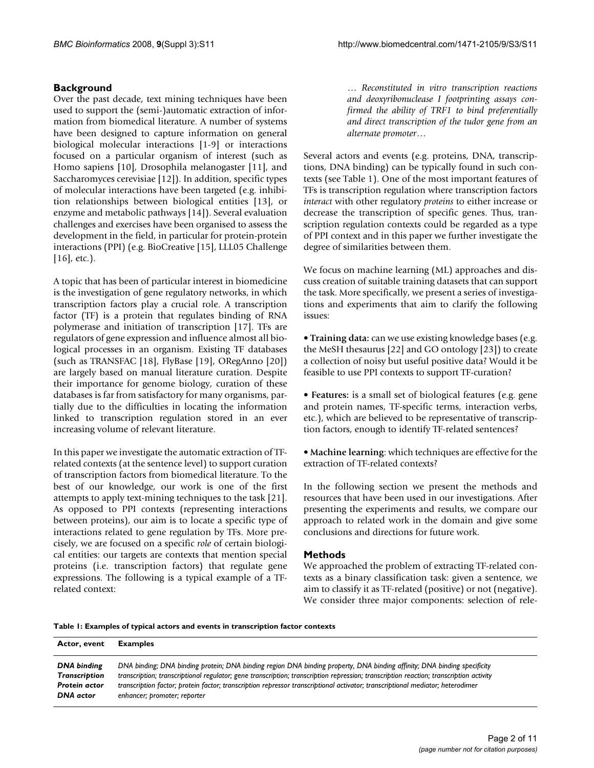### **Background**

Over the past decade, text mining techniques have been used to support the (semi-)automatic extraction of information from biomedical literature. A number of systems have been designed to capture information on general biological molecular interactions [1-9] or interactions focused on a particular organism of interest (such as Homo sapiens [10], Drosophila melanogaster [11], and Saccharomyces cerevisiae [12]). In addition, specific types of molecular interactions have been targeted (e.g. inhibition relationships between biological entities [13], or enzyme and metabolic pathways [14]). Several evaluation challenges and exercises have been organised to assess the development in the field, in particular for protein-protein interactions (PPI) (e.g. BioCreative [15], LLL05 Challenge [16], etc.).

A topic that has been of particular interest in biomedicine is the investigation of gene regulatory networks, in which transcription factors play a crucial role. A transcription factor (TF) is a protein that regulates binding of RNA polymerase and initiation of transcription [17]. TFs are regulators of gene expression and influence almost all biological processes in an organism. Existing TF databases (such as TRANSFAC [18], FlyBase [19], ORegAnno [20]) are largely based on manual literature curation. Despite their importance for genome biology, curation of these databases is far from satisfactory for many organisms, partially due to the difficulties in locating the information linked to transcription regulation stored in an ever increasing volume of relevant literature.

In this paper we investigate the automatic extraction of TFrelated contexts (at the sentence level) to support curation of transcription factors from biomedical literature. To the best of our knowledge, our work is one of the first attempts to apply text-mining techniques to the task [21]. As opposed to PPI contexts (representing interactions between proteins), our aim is to locate a specific type of interactions related to gene regulation by TFs. More precisely, we are focused on a specific *role* of certain biological entities: our targets are contexts that mention special proteins (i.e. transcription factors) that regulate gene expressions. The following is a typical example of a TFrelated context:

… *Reconstituted in vitro transcription reactions and deoxyribonuclease I footprinting assays confirmed the ability of TRF1 to bind preferentially and direct transcription of the tudor gene from an alternate promoter*…

Several actors and events (e.g. proteins, DNA, transcriptions, DNA binding) can be typically found in such contexts (see Table 1). One of the most important features of TFs is transcription regulation where transcription factors *interact* with other regulatory *proteins* to either increase or decrease the transcription of specific genes. Thus, transcription regulation contexts could be regarded as a type of PPI context and in this paper we further investigate the degree of similarities between them.

We focus on machine learning (ML) approaches and discuss creation of suitable training datasets that can support the task. More specifically, we present a series of investigations and experiments that aim to clarify the following issues:

• **Training data:** can we use existing knowledge bases (e.g. the MeSH thesaurus [22] and GO ontology [23]) to create a collection of noisy but useful positive data? Would it be feasible to use PPI contexts to support TF-curation?

• **Features:** is a small set of biological features (e.g. gene and protein names, TF-specific terms, interaction verbs, etc.), which are believed to be representative of transcription factors, enough to identify TF-related sentences?

• **Machine learning**: which techniques are effective for the extraction of TF-related contexts?

In the following section we present the methods and resources that have been used in our investigations. After presenting the experiments and results, we compare our approach to related work in the domain and give some conclusions and directions for future work.

#### **Methods**

We approached the problem of extracting TF-related contexts as a binary classification task: given a sentence, we aim to classify it as TF-related (positive) or not (negative). We consider three major components: selection of rele-

**Table 1: Examples of typical actors and events in transcription factor contexts**

| Actor, event       | <b>Examples</b>                                                                                                                        |
|--------------------|----------------------------------------------------------------------------------------------------------------------------------------|
| <b>DNA</b> binding | DNA binding; DNA binding protein; DNA binding region DNA binding property, DNA binding affinity; DNA binding specificity               |
| Transcription      | transcription; transcriptional regulator; gene transcription; transcription repression; transcription reaction; transcription activity |
| Protein actor      | transcription factor; protein factor; transcription repressor transcriptional activator; transcriptional mediator; heterodimer         |
| <b>DNA</b> actor   | enhancer; promoter; reporter                                                                                                           |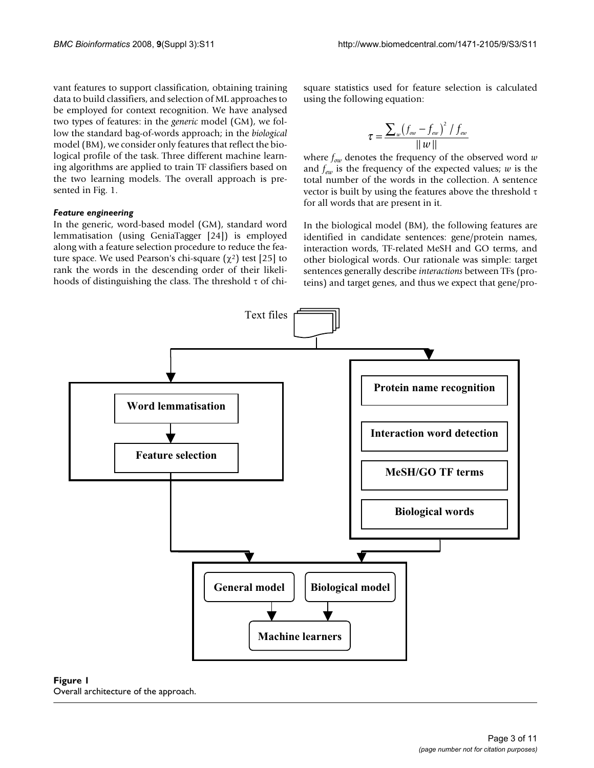vant features to support classification, obtaining training data to build classifiers, and selection of ML approaches to be employed for context recognition. We have analysed two types of features: in the *generic* model (GM), we follow the standard bag-of-words approach; in the *biological* model (BM), we consider only features that reflect the biological profile of the task. Three different machine learning algorithms are applied to train TF classifiers based on the two learning models. The overall approach is presented in Fig. 1.

#### *Feature engineering*

In the generic, word-based model (GM), standard word lemmatisation (using GeniaTagger [24]) is employed along with a feature selection procedure to reduce the feature space. We used Pearson's chi-square  $(\chi^2)$  test [25] to rank the words in the descending order of their likelihoods of distinguishing the class. The threshold  $\tau$  of chisquare statistics used for feature selection is calculated using the following equation:

$$
\tau = \frac{\sum_{w} (f_{ow} - f_{ew})^2 / f_{ew}}{||w||}
$$

where *fow* denotes the frequency of the observed word *w* and  $f_{ew}$  is the frequency of the expected values; *w* is the total number of the words in the collection. A sentence vector is built by using the features above the threshold τ for all words that are present in it.

In the biological model (BM), the following features are identified in candidate sentences: gene/protein names, interaction words, TF-related MeSH and GO terms, and other biological words. Our rationale was simple: target sentences generally describe *interactions* between TFs (proteins) and target genes, and thus we expect that gene/pro-



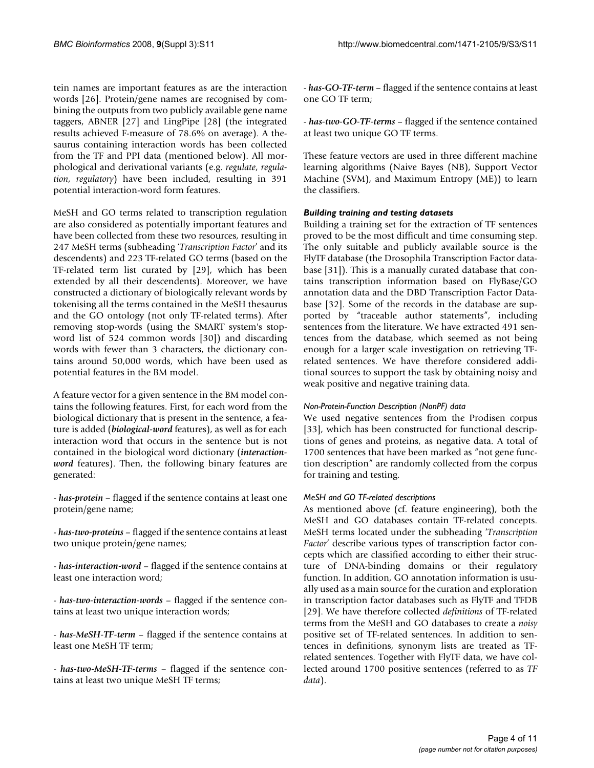tein names are important features as are the interaction words [26]. Protein/gene names are recognised by combining the outputs from two publicly available gene name taggers, ABNER [27] and LingPipe [28] (the integrated results achieved F-measure of 78.6% on average). A thesaurus containing interaction words has been collected from the TF and PPI data (mentioned below). All morphological and derivational variants (e.g. *regulate*, *regulation*, *regulatory*) have been included, resulting in 391 potential interaction-word form features.

MeSH and GO terms related to transcription regulation are also considered as potentially important features and have been collected from these two resources, resulting in 247 MeSH terms (subheading '*Transcription Factor*' and its descendents) and 223 TF-related GO terms (based on the TF-related term list curated by [29], which has been extended by all their descendents). Moreover, we have constructed a dictionary of biologically relevant words by tokenising all the terms contained in the MeSH thesaurus and the GO ontology (not only TF-related terms). After removing stop-words (using the SMART system's stopword list of 524 common words [30]) and discarding words with fewer than 3 characters, the dictionary contains around 50,000 words, which have been used as potential features in the BM model.

A feature vector for a given sentence in the BM model contains the following features. First, for each word from the biological dictionary that is present in the sentence, a feature is added (*biological-word* features), as well as for each interaction word that occurs in the sentence but is not contained in the biological word dictionary (*interactionword* features). Then, the following binary features are generated:

- *has-protein* – flagged if the sentence contains at least one protein/gene name;

- *has-two-proteins* – flagged if the sentence contains at least two unique protein/gene names;

- *has-interaction-word* – flagged if the sentence contains at least one interaction word;

- *has-two-interaction-words* – flagged if the sentence contains at least two unique interaction words;

- *has-MeSH-TF-term* – flagged if the sentence contains at least one MeSH TF term;

- *has-two-MeSH-TF-terms* – flagged if the sentence contains at least two unique MeSH TF terms;

- *has-GO-TF-term* – flagged if the sentence contains at least one GO TF term;

- *has-two-GO-TF-terms* – flagged if the sentence contained at least two unique GO TF terms.

These feature vectors are used in three different machine learning algorithms (Naive Bayes (NB), Support Vector Machine (SVM), and Maximum Entropy (ME)) to learn the classifiers.

#### *Building training and testing datasets*

Building a training set for the extraction of TF sentences proved to be the most difficult and time consuming step. The only suitable and publicly available source is the FlyTF database (the Drosophila Transcription Factor database [31]). This is a manually curated database that contains transcription information based on FlyBase/GO annotation data and the DBD Transcription Factor Database [32]. Some of the records in the database are supported by "traceable author statements", including sentences from the literature. We have extracted 491 sentences from the database, which seemed as not being enough for a larger scale investigation on retrieving TFrelated sentences. We have therefore considered additional sources to support the task by obtaining noisy and weak positive and negative training data.

#### *Non-Protein-Function Description (NonPF) data*

We used negative sentences from the Prodisen corpus [33], which has been constructed for functional descriptions of genes and proteins, as negative data. A total of 1700 sentences that have been marked as "not gene function description" are randomly collected from the corpus for training and testing.

#### *MeSH and GO TF-related descriptions*

As mentioned above (cf. feature engineering), both the MeSH and GO databases contain TF-related concepts. MeSH terms located under the subheading '*Transcription Factor*' describe various types of transcription factor concepts which are classified according to either their structure of DNA-binding domains or their regulatory function. In addition, GO annotation information is usually used as a main source for the curation and exploration in transcription factor databases such as FlyTF and TFDB [29]. We have therefore collected *definitions* of TF-related terms from the MeSH and GO databases to create a *noisy* positive set of TF-related sentences. In addition to sentences in definitions, synonym lists are treated as TFrelated sentences. Together with FlyTF data, we have collected around 1700 positive sentences (referred to as *TF data*).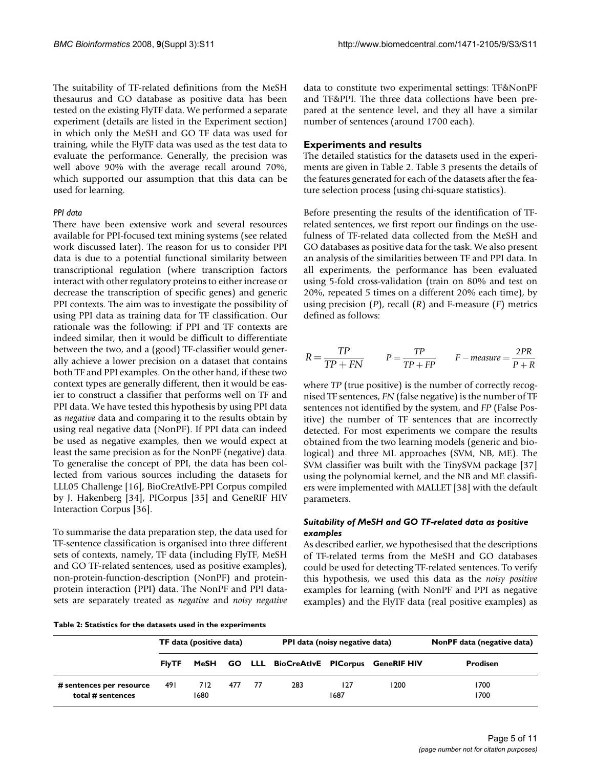The suitability of TF-related definitions from the MeSH thesaurus and GO database as positive data has been tested on the existing FlyTF data. We performed a separate experiment (details are listed in the Experiment section) in which only the MeSH and GO TF data was used for training, while the FlyTF data was used as the test data to evaluate the performance. Generally, the precision was well above 90% with the average recall around 70%, which supported our assumption that this data can be used for learning.

#### *PPI data*

There have been extensive work and several resources available for PPI-focused text mining systems (see related work discussed later). The reason for us to consider PPI data is due to a potential functional similarity between transcriptional regulation (where transcription factors interact with other regulatory proteins to either increase or decrease the transcription of specific genes) and generic PPI contexts. The aim was to investigate the possibility of using PPI data as training data for TF classification. Our rationale was the following: if PPI and TF contexts are indeed similar, then it would be difficult to differentiate between the two, and a (good) TF-classifier would generally achieve a lower precision on a dataset that contains both TF and PPI examples. On the other hand, if these two context types are generally different, then it would be easier to construct a classifier that performs well on TF and PPI data. We have tested this hypothesis by using PPI data as *negative* data and comparing it to the results obtain by using real negative data (NonPF). If PPI data can indeed be used as negative examples, then we would expect at least the same precision as for the NonPF (negative) data. To generalise the concept of PPI, the data has been collected from various sources including the datasets for LLL05 Challenge [16], BioCreAtIvE-PPI Corpus compiled by J. Hakenberg [34], PICorpus [35] and GeneRIF HIV Interaction Corpus [36].

To summarise the data preparation step, the data used for TF-sentence classification is organised into three different sets of contexts, namely, TF data (including FlyTF, MeSH and GO TF-related sentences, used as positive examples), non-protein-function-description (NonPF) and proteinprotein interaction (PPI) data. The NonPF and PPI datasets are separately treated as *negative* and *noisy negative*

**Table 2: Statistics for the datasets used in the experiments**

data to constitute two experimental settings: TF&NonPF and TF&PPI. The three data collections have been prepared at the sentence level, and they all have a similar number of sentences (around 1700 each).

#### **Experiments and results**

The detailed statistics for the datasets used in the experiments are given in Table 2. Table 3 presents the details of the features generated for each of the datasets after the feature selection process (using chi-square statistics).

Before presenting the results of the identification of TFrelated sentences, we first report our findings on the usefulness of TF-related data collected from the MeSH and GO databases as positive data for the task. We also present an analysis of the similarities between TF and PPI data. In all experiments, the performance has been evaluated using 5-fold cross-validation (train on 80% and test on 20%, repeated 5 times on a different 20% each time), by using precision (*P*), recall (*R*) and F-measure (*F*) metrics defined as follows:

$$
R = \frac{TP}{TP + FN} \qquad P = \frac{TP}{TP + FP} \qquad F - measure = \frac{2PR}{P + R}
$$

where *TP* (true positive) is the number of correctly recognised TF sentences, *FN* (false negative) is the number of TF sentences not identified by the system, and *FP* (False Positive) the number of TF sentences that are incorrectly detected. For most experiments we compare the results obtained from the two learning models (generic and biological) and three ML approaches (SVM, NB, ME). The SVM classifier was built with the TinySVM package [37] using the polynomial kernel, and the NB and ME classifiers were implemented with MALLET [38] with the default parameters.

#### *Suitability of MeSH and GO TF-related data as positive examples*

As described earlier, we hypothesised that the descriptions of TF-related terms from the MeSH and GO databases could be used for detecting TF-related sentences. To verify this hypothesis, we used this data as the *noisy positive* examples for learning (with NonPF and PPI as negative examples) and the FlyTF data (real positive examples) as

|                                               | TF data (positive data) |             |     |     | PPI data (noisy negative data)                     |             | NonPF data (negative data) |                 |  |
|-----------------------------------------------|-------------------------|-------------|-----|-----|----------------------------------------------------|-------------|----------------------------|-----------------|--|
|                                               |                         |             |     |     | FlyTF MeSH GO LLL BioCreAtlyE PICorpus GeneRIF HIV |             |                            | <b>Prodisen</b> |  |
| # sentences per resource<br>total # sentences | 491                     | 712<br>1680 | 477 | -77 | 283                                                | 127<br>1687 | 1200                       | 1700<br>1700    |  |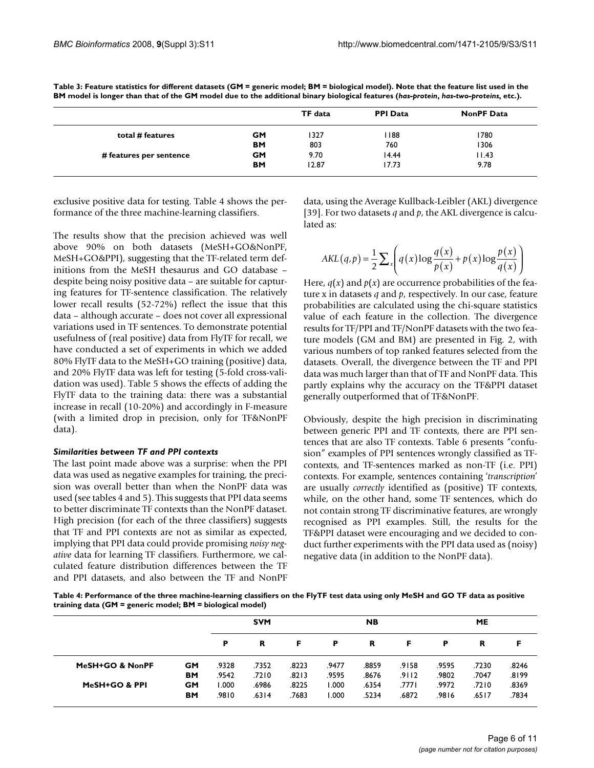|                         |           | TF data | <b>PPI Data</b> | <b>NonPF</b> Data |
|-------------------------|-----------|---------|-----------------|-------------------|
| total # features        | GM        | 1327    | 1188            | 1780              |
|                         | BM        | 803     | 760             | 1306              |
| # features per sentence | <b>GM</b> | 9.70    | 14.44           | 11.43             |
|                         | BM        | 12.87   | 17.73           | 9.78              |

**Table 3: Feature statistics for different datasets (GM = generic model; BM = biological model). Note that the feature list used in the BM model is longer than that of the GM model due to the additional binary biological features (***has-protein***,** *has-two-proteins***, etc.).**

exclusive positive data for testing. Table 4 shows the performance of the three machine-learning classifiers.

The results show that the precision achieved was well above 90% on both datasets (MeSH+GO&NonPF, MeSH+GO&PPI), suggesting that the TF-related term definitions from the MeSH thesaurus and GO database – despite being noisy positive data – are suitable for capturing features for TF-sentence classification. The relatively lower recall results (52-72%) reflect the issue that this data – although accurate – does not cover all expressional variations used in TF sentences. To demonstrate potential usefulness of (real positive) data from FlyTF for recall, we have conducted a set of experiments in which we added 80% FlyTF data to the MeSH+GO training (positive) data, and 20% FlyTF data was left for testing (5-fold cross-validation was used). Table 5 shows the effects of adding the FlyTF data to the training data: there was a substantial increase in recall (10-20%) and accordingly in F-measure (with a limited drop in precision, only for TF&NonPF data).

#### *Similarities between TF and PPI contexts*

The last point made above was a surprise: when the PPI data was used as negative examples for training, the precision was overall better than when the NonPF data was used (see tables 4 and 5). This suggests that PPI data seems to better discriminate TF contexts than the NonPF dataset. High precision (for each of the three classifiers) suggests that TF and PPI contexts are not as similar as expected, implying that PPI data could provide promising *noisy negative* data for learning TF classifiers. Furthermore, we calculated feature distribution differences between the TF and PPI datasets, and also between the TF and NonPF

data, using the Average Kullback-Leibler (AKL) divergence [39]. For two datasets *q* and *p*, the AKL divergence is calculated as:

$$
AKL(q, p) = \frac{1}{2} \sum_{x} \left( q(x) \log \frac{q(x)}{p(x)} + p(x) \log \frac{p(x)}{q(x)} \right)
$$

Here,  $q(x)$  and  $p(x)$  are occurrence probabilities of the feature x in datasets *q* and *p*, respectively. In our case, feature probabilities are calculated using the chi-square statistics value of each feature in the collection. The divergence results for TF/PPI and TF/NonPF datasets with the two feature models (GM and BM) are presented in Fig. 2, with various numbers of top ranked features selected from the datasets. Overall, the divergence between the TF and PPI data was much larger than that of TF and NonPF data. This partly explains why the accuracy on the TF&PPI dataset generally outperformed that of TF&NonPF.

Obviously, despite the high precision in discriminating between generic PPI and TF contexts, there are PPI sentences that are also TF contexts. Table 6 presents "confusion" examples of PPI sentences wrongly classified as TFcontexts, and TF-sentences marked as non-TF (i.e. PPI) contexts. For example, sentences containing '*transcription*' are usually *correctly* identified as (positive) TF contexts, while, on the other hand, some TF sentences, which do not contain strong TF discriminative features, are wrongly recognised as PPI examples. Still, the results for the TF&PPI dataset were encouraging and we decided to conduct further experiments with the PPI data used as (noisy) negative data (in addition to the NonPF data).

**Table 4: Performance of the three machine-learning classifiers on the FlyTF test data using only MeSH and GO TF data as positive training data (GM = generic model; BM = biological model)**

|                 |           | <b>SVM</b> |       |       |          | <b>NB</b> |       | <b>ME</b> |       |       |
|-----------------|-----------|------------|-------|-------|----------|-----------|-------|-----------|-------|-------|
|                 |           | P          | R     | F.    | <b>P</b> | R         | F.    | P         | R     | F.    |
| MeSH+GO & NonPF | GM        | .9328      | .7352 | .8223 | .9477    | .8859     | .9158 | .9595     | .7230 | .8246 |
|                 | <b>BM</b> | .9542      | .7210 | .8213 | .9595    | .8676     | .9112 | .9802     | .7047 | .8199 |
| MeSH+GO & PPI   | <b>GM</b> | 000.       | .6986 | .8225 | .000     | .6354     | .7771 | .9972     | .7210 | .8369 |
|                 | <b>BM</b> | .9810      | .6314 | .7683 | 000.1    | .5234     | .6872 | .9816     | .6517 | .7834 |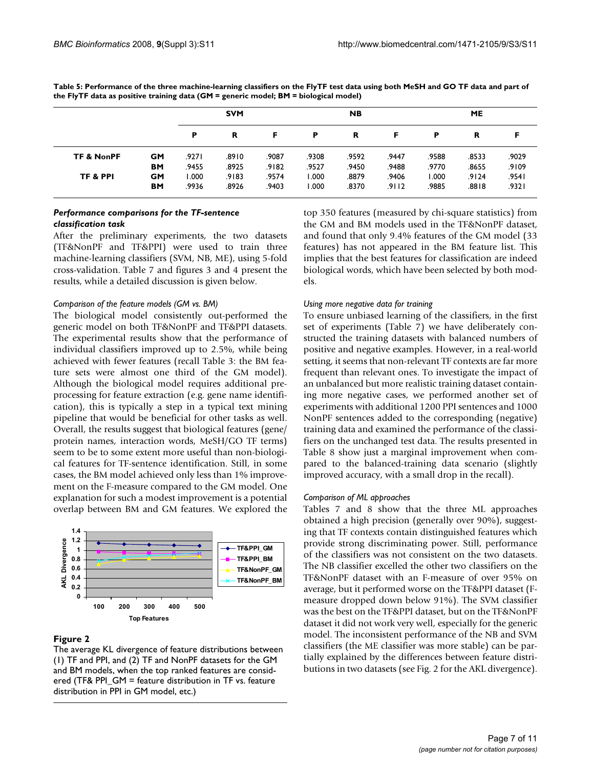|            |           |       | <b>SVM</b> |       |       | <b>NB</b> |       | <b>ME</b> |       |       |
|------------|-----------|-------|------------|-------|-------|-----------|-------|-----------|-------|-------|
|            |           | P     | R          | F     | P     | R         | F     | P         | R     | F     |
| TF & NonPF | GM        | .9271 | .8910      | .9087 | .9308 | .9592     | .9447 | .9588     | .8533 | .9029 |
|            | <b>BM</b> | .9455 | .8925      | .9182 | .9527 | .9450     | .9488 | .9770     | .8655 | .9109 |
| TF & PPI   | GM        | 000.1 | .9183      | .9574 | 1.000 | .8879     | .9406 | 000.1     | .9124 | .9541 |
|            | <b>BM</b> | .9936 | .8926      | .9403 | 1.000 | .8370     | .9112 | .9885     | .8818 | .9321 |

**Table 5: Performance of the three machine-learning classifiers on the FlyTF test data using both MeSH and GO TF data and part of the FlyTF data as positive training data (GM = generic model; BM = biological model)**

#### *Performance comparisons for the TF-sentence classification task*

After the preliminary experiments, the two datasets (TF&NonPF and TF&PPI) were used to train three machine-learning classifiers (SVM, NB, ME), using 5-fold cross-validation. Table 7 and figures 3 and 4 present the results, while a detailed discussion is given below.

#### *Comparison of the feature models (GM vs. BM)*

The biological model consistently out-performed the generic model on both TF&NonPF and TF&PPI datasets. The experimental results show that the performance of individual classifiers improved up to 2.5%, while being achieved with fewer features (recall Table 3: the BM feature sets were almost one third of the GM model). Although the biological model requires additional preprocessing for feature extraction (e.g. gene name identification), this is typically a step in a typical text mining pipeline that would be beneficial for other tasks as well. Overall, the results suggest that biological features (gene/ protein names, interaction words, MeSH/GO TF terms) seem to be to some extent more useful than non-biological features for TF-sentence identification. Still, in some cases, the BM model achieved only less than 1% improvement on the F-measure compared to the GM model. One explanation for such a modest improvement is a potential overlap between BM and GM features. We explored the



#### **Figure 2**

The average KL divergence of feature distributions between (1) TF and PPI, and (2) TF and NonPF datasets for the GM and BM models, when the top ranked features are considered (TF& PPI\_GM = feature distribution in TF vs. feature distribution in PPI in GM model, etc.)

top 350 features (measured by chi-square statistics) from the GM and BM models used in the TF&NonPF dataset, and found that only 9.4% features of the GM model (33 features) has not appeared in the BM feature list. This implies that the best features for classification are indeed biological words, which have been selected by both models.

#### *Using more negative data for training*

To ensure unbiased learning of the classifiers, in the first set of experiments (Table 7) we have deliberately constructed the training datasets with balanced numbers of positive and negative examples. However, in a real-world setting, it seems that non-relevant TF contexts are far more frequent than relevant ones. To investigate the impact of an unbalanced but more realistic training dataset containing more negative cases, we performed another set of experiments with additional 1200 PPI sentences and 1000 NonPF sentences added to the corresponding (negative) training data and examined the performance of the classifiers on the unchanged test data. The results presented in Table 8 show just a marginal improvement when compared to the balanced-training data scenario (slightly improved accuracy, with a small drop in the recall).

#### *Comparison of ML approaches*

Tables 7 and 8 show that the three ML approaches obtained a high precision (generally over 90%), suggesting that TF contexts contain distinguished features which provide strong discriminating power. Still, performance of the classifiers was not consistent on the two datasets. The NB classifier excelled the other two classifiers on the TF&NonPF dataset with an F-measure of over 95% on average, but it performed worse on the TF&PPI dataset (Fmeasure dropped down below 91%). The SVM classifier was the best on the TF&PPI dataset, but on the TF&NonPF dataset it did not work very well, especially for the generic model. The inconsistent performance of the NB and SVM classifiers (the ME classifier was more stable) can be partially explained by the differences between feature distributions in two datasets (see Fig. 2 for the AKL divergence).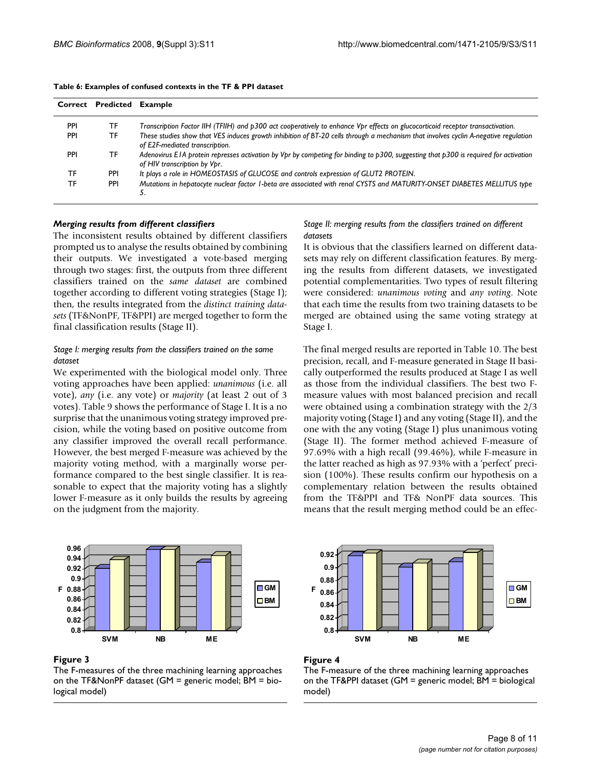|     | Correct Predicted Example |                                                                                                                                                                       |
|-----|---------------------------|-----------------------------------------------------------------------------------------------------------------------------------------------------------------------|
| PPI | ΤF                        | Transcription Factor IIH (TFIIH) and p300 act cooperatively to enhance Vpr effects on glucocorticoid receptor transactivation.                                        |
| PPI | TF                        | These studies show that VES induces growth inhibition of BT-20 cells through a mechanism that involves cyclin A-negative regulation<br>of E2F-mediated transcription. |
| PPI | TF                        | Adenovirus EIA protein represses activation by Vpr by competing for binding to p300, suggesting that p300 is required for activation<br>of HIV transcription by Vpr.  |
| ТF  | PPI                       | It plays a role in HOMEOSTASIS of GLUCOSE and controls expression of GLUT2 PROTEIN.                                                                                   |
| ТF  | <b>PPI</b>                | Mutations in hepatocyte nuclear factor 1-beta are associated with renal CYSTS and MATURITY-ONSET DIABETES MELLITUS type                                               |

#### **Table 6: Examples of confused contexts in the TF & PPI dataset**

#### *Merging results from different classifiers*

The inconsistent results obtained by different classifiers prompted us to analyse the results obtained by combining their outputs. We investigated a vote-based merging through two stages: first, the outputs from three different classifiers trained on the *same dataset* are combined together according to different voting strategies (Stage I); then, the results integrated from the *distinct training datasets* (TF&NonPF, TF&PPI) are merged together to form the final classification results (Stage II).

#### *Stage I: merging results from the classifiers trained on the same dataset*

We experimented with the biological model only. Three voting approaches have been applied: *unanimous* (i.e. all vote), *any* (i.e. any vote) or *majority* (at least 2 out of 3 votes). Table 9 shows the performance of Stage I. It is a no surprise that the unanimous voting strategy improved precision, while the voting based on positive outcome from any classifier improved the overall recall performance. However, the best merged F-measure was achieved by the majority voting method, with a marginally worse performance compared to the best single classifier. It is reasonable to expect that the majority voting has a slightly lower F-measure as it only builds the results by agreeing on the judgment from the majority.



#### Figure 3

The F-measures of the three machining learning approaches on the TF&NonPF dataset (GM = generic model;  $BM = bio$ logical model)

#### *Stage II: merging results from the classifiers trained on different datasets*

It is obvious that the classifiers learned on different datasets may rely on different classification features. By merging the results from different datasets, we investigated potential complementarities. Two types of result filtering were considered: *unanimous voting* and *any voting*. Note that each time the results from two training datasets to be merged are obtained using the same voting strategy at Stage I.

The final merged results are reported in Table 10. The best precision, recall, and F-measure generated in Stage II basically outperformed the results produced at Stage I as well as those from the individual classifiers. The best two Fmeasure values with most balanced precision and recall were obtained using a combination strategy with the 2/3 majority voting (Stage I) and any voting (Stage II), and the one with the any voting (Stage I) plus unanimous voting (Stage II). The former method achieved F-measure of 97.69% with a high recall (99.46%), while F-measure in the latter reached as high as 97.93% with a 'perfect' precision (100%). These results confirm our hypothesis on a complementary relation between the results obtained from the TF&PPI and TF& NonPF data sources. This means that the result merging method could be an effec-



#### Figure 4

The F-measure of the three machining learning approaches on the TF&PPI dataset (GM = generic model; BM = biological model)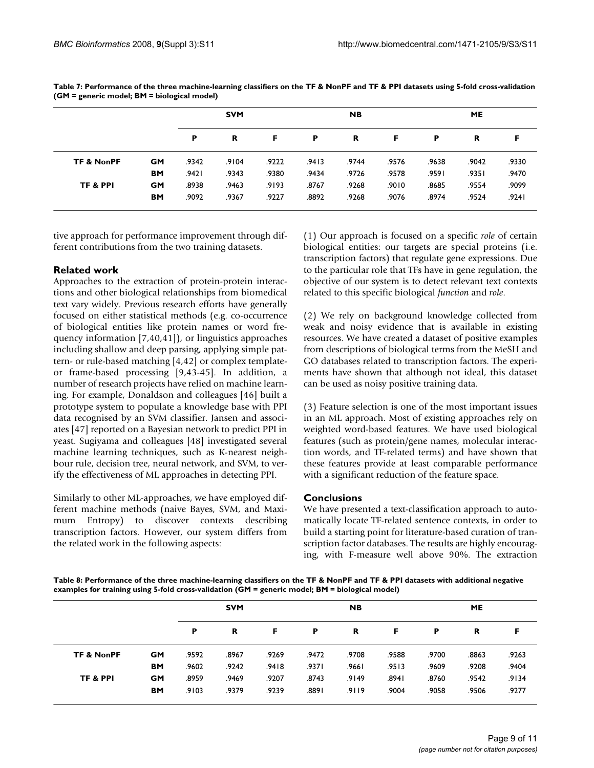|                       |           |       | <b>SVM</b> |       |       | <b>NB</b> |       | ME    |       |       |
|-----------------------|-----------|-------|------------|-------|-------|-----------|-------|-------|-------|-------|
|                       |           | P     | R          | F.    | P     | R         | F.    | P     | R     | F     |
| <b>TF &amp; NonPF</b> | GM        | .9342 | .9104      | .9222 | .9413 | .9744     | .9576 | .9638 | .9042 | .9330 |
|                       | ΒM        | .9421 | .9343      | .9380 | .9434 | .9726     | .9578 | .9591 | .9351 | .9470 |
| TF & PPI              | <b>GM</b> | .8938 | .9463      | .9193 | .8767 | .9268     | .9010 | .8685 | .9554 | .9099 |
|                       | ΒM        | .9092 | .9367      | .9227 | .8892 | .9268     | .9076 | .8974 | .9524 | .9241 |

**Table 7: Performance of the three machine-learning classifiers on the TF & NonPF and TF & PPI datasets using 5-fold cross-validation (GM = generic model; BM = biological model)**

tive approach for performance improvement through different contributions from the two training datasets.

### **Related work**

Approaches to the extraction of protein-protein interactions and other biological relationships from biomedical text vary widely. Previous research efforts have generally focused on either statistical methods (e.g. co-occurrence of biological entities like protein names or word frequency information [7,40,41]), or linguistics approaches including shallow and deep parsing, applying simple pattern- or rule-based matching [4,42] or complex templateor frame-based processing [9,43-45]. In addition, a number of research projects have relied on machine learning. For example, Donaldson and colleagues [46] built a prototype system to populate a knowledge base with PPI data recognised by an SVM classifier. Jansen and associates [47] reported on a Bayesian network to predict PPI in yeast. Sugiyama and colleagues [48] investigated several machine learning techniques, such as K-nearest neighbour rule, decision tree, neural network, and SVM, to verify the effectiveness of ML approaches in detecting PPI.

Similarly to other ML-approaches, we have employed different machine methods (naive Bayes, SVM, and Maximum Entropy) to discover contexts describing transcription factors. However, our system differs from the related work in the following aspects:

(1) Our approach is focused on a specific *role* of certain biological entities: our targets are special proteins (i.e. transcription factors) that regulate gene expressions. Due to the particular role that TFs have in gene regulation, the objective of our system is to detect relevant text contexts related to this specific biological *function* and *role*.

(2) We rely on background knowledge collected from weak and noisy evidence that is available in existing resources. We have created a dataset of positive examples from descriptions of biological terms from the MeSH and GO databases related to transcription factors. The experiments have shown that although not ideal, this dataset can be used as noisy positive training data.

(3) Feature selection is one of the most important issues in an ML approach. Most of existing approaches rely on weighted word-based features. We have used biological features (such as protein/gene names, molecular interaction words, and TF-related terms) and have shown that these features provide at least comparable performance with a significant reduction of the feature space.

#### **Conclusions**

We have presented a text-classification approach to automatically locate TF-related sentence contexts, in order to build a starting point for literature-based curation of transcription factor databases. The results are highly encouraging, with F-measure well above 90%. The extraction

**Table 8: Performance of the three machine-learning classifiers on the TF & NonPF and TF & PPI datasets with additional negative examples for training using 5-fold cross-validation (GM = generic model; BM = biological model)**

|                       |           |       | <b>SVM</b> |       |          | <b>NB</b> |       | ME    |       |       |
|-----------------------|-----------|-------|------------|-------|----------|-----------|-------|-------|-------|-------|
|                       |           | P     | R          | F.    | <b>P</b> | R         | F.    | P     | R     | F.    |
| <b>TF &amp; NonPF</b> | GM        | .9592 | .8967      | .9269 | .9472    | .9708     | .9588 | .9700 | .8863 | .9263 |
|                       | <b>BM</b> | .9602 | .9242      | .9418 | .9371    | .9661     | .9513 | .9609 | .9208 | .9404 |
| TF & PPI              | GM        | .8959 | .9469      | .9207 | .8743    | .9149     | .8941 | .8760 | .9542 | .9134 |
|                       | <b>BM</b> | .9103 | .9379      | .9239 | .8891    | .9119     | .9004 | .9058 | .9506 | .9277 |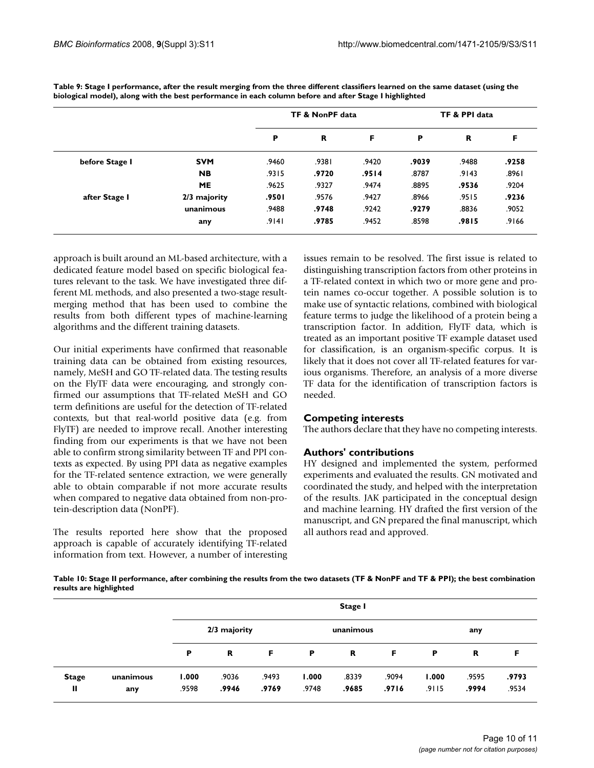|                |              |       | TF & NonPF data |       | TF & PPI data |       |       |  |
|----------------|--------------|-------|-----------------|-------|---------------|-------|-------|--|
|                |              | P     | R               | F     | P             | R     | F     |  |
| before Stage I | <b>SVM</b>   | .9460 | .9381           | .9420 | .9039         | .9488 | .9258 |  |
|                | <b>NB</b>    | .9315 | .9720           | .9514 | .8787         | .9143 | .8961 |  |
|                | <b>ME</b>    | .9625 | .9327           | .9474 | .8895         | .9536 | .9204 |  |
| after Stage I  | 2/3 majority | .9501 | .9576           | .9427 | .8966         | .9515 | .9236 |  |
|                | unanimous    | .9488 | .9748           | .9242 | .9279         | .8836 | .9052 |  |
|                | any          | .9141 | .9785           | .9452 | .8598         | .9815 | .9166 |  |

**Table 9: Stage I performance, after the result merging from the three different classifiers learned on the same dataset (using the biological model), along with the best performance in each column before and after Stage I highlighted**

approach is built around an ML-based architecture, with a dedicated feature model based on specific biological features relevant to the task. We have investigated three different ML methods, and also presented a two-stage resultmerging method that has been used to combine the results from both different types of machine-learning algorithms and the different training datasets.

Our initial experiments have confirmed that reasonable training data can be obtained from existing resources, namely, MeSH and GO TF-related data. The testing results on the FlyTF data were encouraging, and strongly confirmed our assumptions that TF-related MeSH and GO term definitions are useful for the detection of TF-related contexts, but that real-world positive data (e.g. from FlyTF) are needed to improve recall. Another interesting finding from our experiments is that we have not been able to confirm strong similarity between TF and PPI contexts as expected. By using PPI data as negative examples for the TF-related sentence extraction, we were generally able to obtain comparable if not more accurate results when compared to negative data obtained from non-protein-description data (NonPF).

The results reported here show that the proposed approach is capable of accurately identifying TF-related information from text. However, a number of interesting issues remain to be resolved. The first issue is related to distinguishing transcription factors from other proteins in a TF-related context in which two or more gene and protein names co-occur together. A possible solution is to make use of syntactic relations, combined with biological feature terms to judge the likelihood of a protein being a transcription factor. In addition, FlyTF data, which is treated as an important positive TF example dataset used for classification, is an organism-specific corpus. It is likely that it does not cover all TF-related features for various organisms. Therefore, an analysis of a more diverse TF data for the identification of transcription factors is needed.

#### **Competing interests**

The authors declare that they have no competing interests.

#### **Authors' contributions**

HY designed and implemented the system, performed experiments and evaluated the results. GN motivated and coordinated the study, and helped with the interpretation of the results. JAK participated in the conceptual design and machine learning. HY drafted the first version of the manuscript, and GN prepared the final manuscript, which all authors read and approved.

**Table 10: Stage II performance, after combining the results from the two datasets (TF & NonPF and TF & PPI); the best combination results are highlighted**

|                   |                  |                |                |                |                | Stage I        |                |                |                |                |
|-------------------|------------------|----------------|----------------|----------------|----------------|----------------|----------------|----------------|----------------|----------------|
|                   |                  |                | 2/3 majority   |                |                | unanimous      |                |                | any            |                |
|                   |                  | P              | R              | F              | <b>P</b>       | R              | F.             | <b>P</b>       | R              | F.             |
| <b>Stage</b><br>Ш | unanimous<br>any | 1.000<br>.9598 | .9036<br>.9946 | .9493<br>.9769 | 1.000<br>.9748 | .8339<br>.9685 | .9094<br>.9716 | 1.000<br>.9115 | .9595<br>.9994 | .9793<br>.9534 |